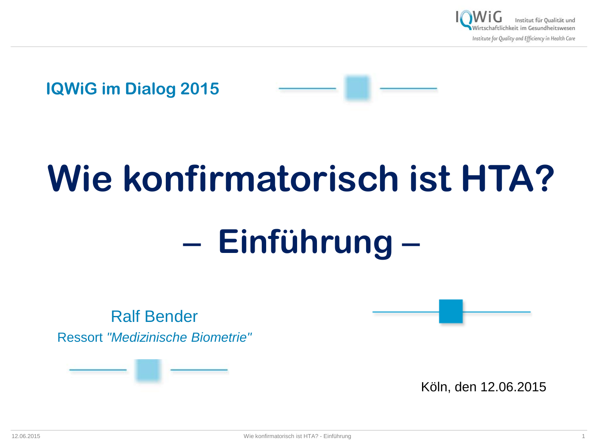



# **Wie konfirmatorisch ist HTA?**

# − **Einführung** −

Ralf Bender Ressort *"Medizinische Biometrie"*



Köln, den 12.06.2015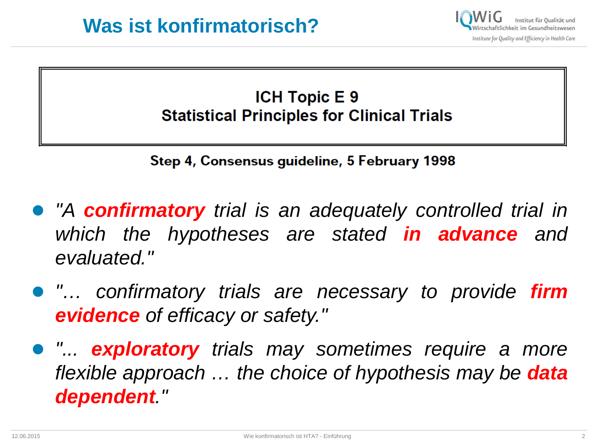#### **ICH Topic E 9 Statistical Principles for Clinical Trials**

Step 4, Consensus guideline, 5 February 1998

- *"A confirmatory trial is an adequately controlled trial in which the hypotheses are stated in advance and evaluated."*
- *"… confirmatory trials are necessary to provide firm evidence of efficacy or safety."*
- *"... exploratory trials may sometimes require a more flexible approach … the choice of hypothesis may be data dependent."*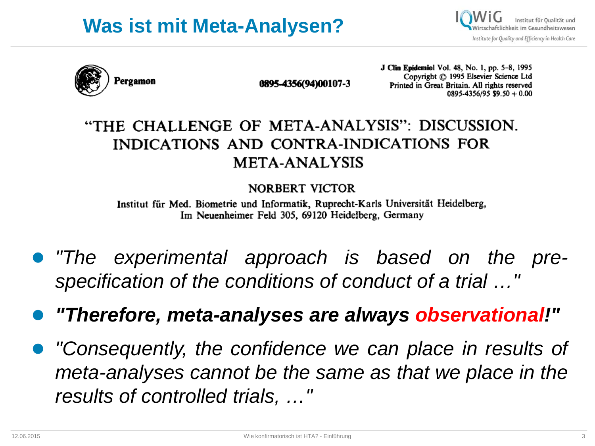



0895-4356(94)00107-3

**J Clin Epidemiol Vol. 48, No. 1, pp. 5-8, 1995** Copyright © 1995 Elsevier Science Ltd Printed in Great Britain. All rights reserved  $0895 - 4356/95$  \$9.50 + 0.00

#### "THE CHALLENGE OF META-ANALYSIS": DISCUSSION. INDICATIONS AND CONTRA-INDICATIONS FOR **META-ANALYSIS**

**NORBERT VICTOR** 

Institut für Med. Biometrie und Informatik, Ruprecht-Karls Universität Heidelberg, Im Neuenheimer Feld 305, 69120 Heidelberg, Germany

- *"The experimental approach is based on the prespecification of the conditions of conduct of a trial …"*
- *"Therefore, meta-analyses are always observational!"*
- *"Consequently, the confidence we can place in results of meta-analyses cannot be the same as that we place in the results of controlled trials, …"*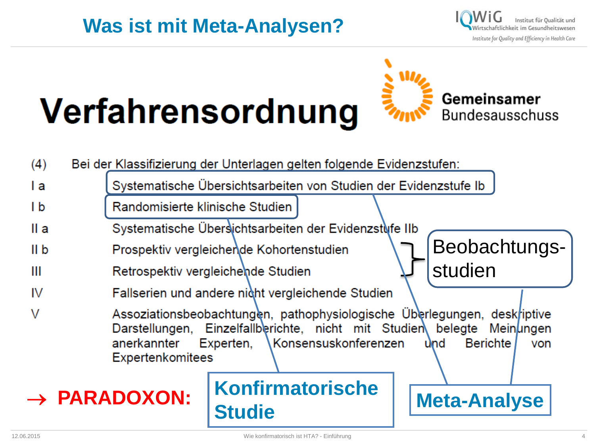#### **Was ist mit Meta-Analysen?**



# Verfahrensordnung



| (4)             |                                 | Bei der Klassifizierung der Unterlagen gelten folgende Evidenzstufen:                                                                                                                                                                               |                     |  |
|-----------------|---------------------------------|-----------------------------------------------------------------------------------------------------------------------------------------------------------------------------------------------------------------------------------------------------|---------------------|--|
| l a             |                                 | Systematische Übersichtsarbeiten von Studien der Evidenzstufe Ib                                                                                                                                                                                    |                     |  |
| I b             | Randomisierte klinische Studien |                                                                                                                                                                                                                                                     |                     |  |
| II a            |                                 | Systematische Übersichtsarbeiten der Evidenzstufe IIb                                                                                                                                                                                               |                     |  |
| II <sub>b</sub> |                                 | Beobachtungs-<br>Prospektiv vergleichende Kohortenstudien                                                                                                                                                                                           |                     |  |
| Ш               |                                 | studien<br>Retrospektiv vergleichende Studien                                                                                                                                                                                                       |                     |  |
| IV              |                                 | Fallserien und andere nicht vergleichende Studien                                                                                                                                                                                                   |                     |  |
| $\vee$          | anerkannter                     | Assoziationsbeobachtungen, pathophysiologische Überlegungen, deskriptive<br>Darstellungen, Einzelfallberichte, nicht mit Studien belegte Meinungen<br><b>Konsensuskonferenzen</b><br><b>Berichte</b><br>Experten,<br>und<br>von<br>Expertenkomitees |                     |  |
|                 | $\rightarrow$ PARADOXON:        | <b>Konfirmatorische</b><br><b>Studie</b>                                                                                                                                                                                                            | <b>Meta-Analyse</b> |  |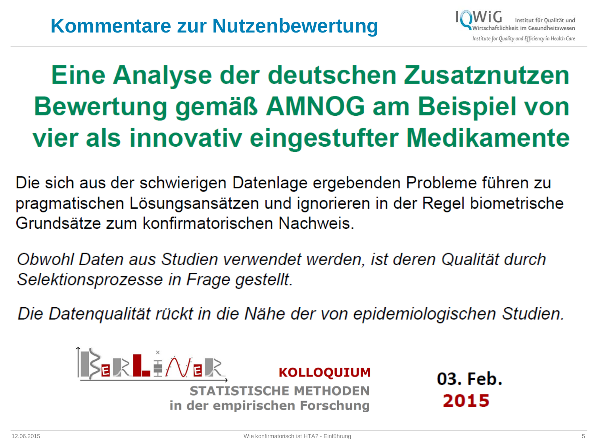

# Eine Analyse der deutschen Zusatznutzen Bewertung gemäß AMNOG am Beispiel von vier als innovativ eingestufter Medikamente

Die sich aus der schwierigen Datenlage ergebenden Probleme führen zu pragmatischen Lösungsansätzen und ignorieren in der Regel biometrische Grundsätze zum konfirmatorischen Nachweis.

Obwohl Daten aus Studien verwendet werden, ist deren Qualität durch Selektionsprozesse in Frage gestellt.

Die Datenqualität rückt in die Nähe der von epidemiologischen Studien.



03. Feb. 2015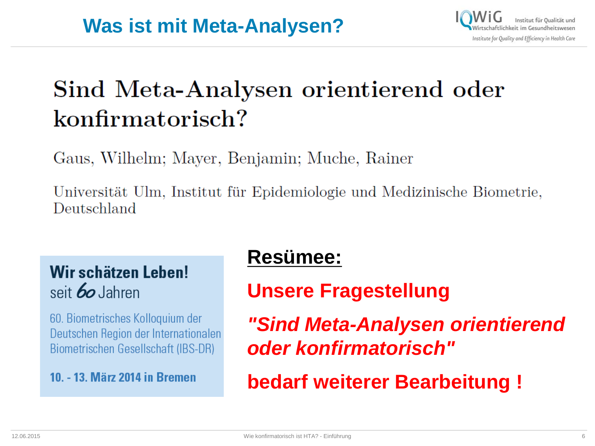## Sind Meta-Analysen orientierend oder konfirmatorisch?

Gaus, Wilhelm; Mayer, Benjamin; Muche, Rainer

Universität Ulm, Institut für Epidemiologie und Medizinische Biometrie, Deutschland

#### Wir schätzen Leben! seit *60* Jahren

60. Biometrisches Kolloquium der Deutschen Region der Internationalen Biometrischen Gesellschaft (IBS-DR)

#### 10. - 13. März 2014 in Bremen

## **Resümee:**

#### **Unsere Fragestellung**

*"Sind Meta-Analysen orientierend oder konfirmatorisch"* 

**bedarf weiterer Bearbeitung !**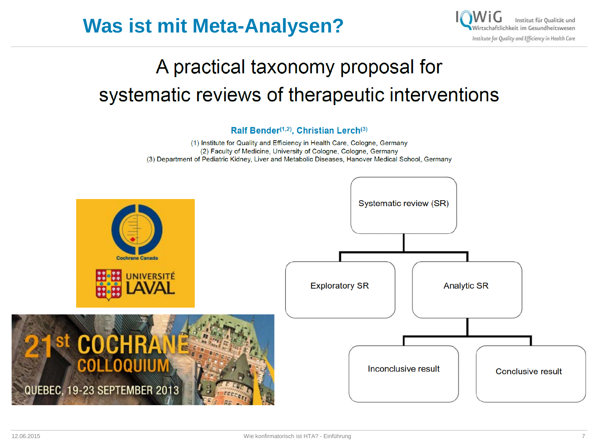



## A practical taxonomy proposal for systematic reviews of therapeutic interventions

Ralf Bender<sup>(1,2)</sup>, Christian Lerch<sup>(3)</sup>

(1) Institute for Quality and Efficiency in Health Care, Cologne, Germany (2) Faculty of Medicine, University of Cologne, Cologne, Germany (3) Department of Pediatric Kidney, Liver and Metabolic Diseases, Hanover Medical School, Germany

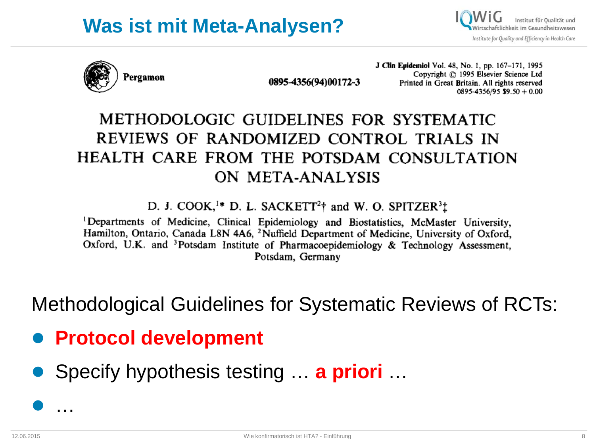#### **Was ist mit Meta-Analysen?**

Institut für Oualität und aftlichkeit im Gesundheitswesen Institute for Quality and Efficiency in Health Care



0895-4356(94)00172-3

**J Clin Epidemiol Vol. 48, No. 1, pp. 167-171, 1995** Copyright © 1995 Elsevier Science Ltd Printed in Great Britain. All rights reserved  $0895 - 4356/95$  \$9.50 + 0.00

#### METHODOLOGIC GUIDELINES FOR SYSTEMATIC REVIEWS OF RANDOMIZED CONTROL TRIALS IN HEALTH CARE FROM THE POTSDAM CONSULTATION ON META-ANALYSIS

D. J. COOK,<sup>1\*</sup> D. L. SACKETT<sup>2</sup>† and W. O. SPITZER<sup>3</sup><sup>†</sup>

<sup>1</sup>Departments of Medicine, Clinical Epidemiology and Biostatistics, McMaster University, Hamilton, Ontario, Canada L8N 4A6, <sup>2</sup>Nuffield Department of Medicine, University of Oxford, Oxford, U.K. and <sup>3</sup>Potsdam Institute of Pharmacoepidemiology & Technology Assessment, Potsdam, Germany

Methodological Guidelines for Systematic Reviews of RCTs:

- **Protocol development**
- Specify hypothesis testing … **a priori** …

…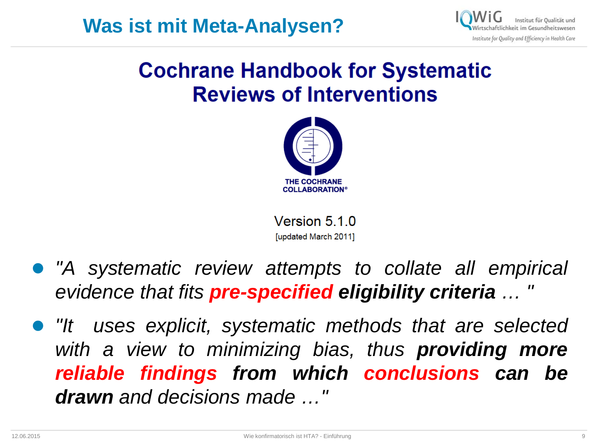

### **Cochrane Handbook for Systematic Reviews of Interventions**



Version 5.1.0 [updated March 2011]

- *"A systematic review attempts to collate all empirical evidence that fits pre-specified eligibility criteria … "*
- *"It uses explicit, systematic methods that are selected with a view to minimizing bias, thus providing more reliable findings from which conclusions can be drawn and decisions made …"*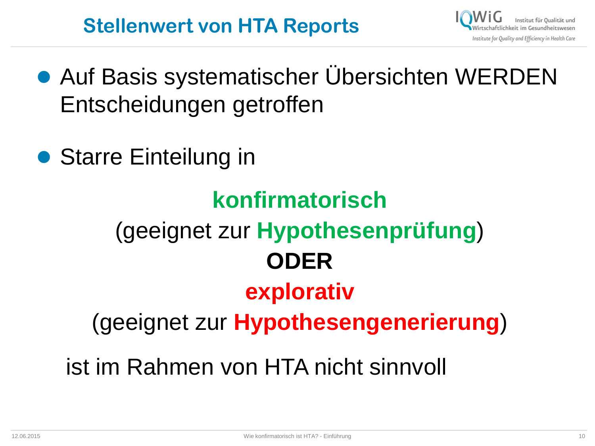## **Stellenwert von HTA Reports**



- Auf Basis systematischer Übersichten WERDEN Entscheidungen getroffen
- Starre Einteilung in

# **konfirmatorisch** (geeignet zur **Hypothesenprüfung**) **ODER explorativ** (geeignet zur **Hypothesengenerierung**) ist im Rahmen von HTA nicht sinnvoll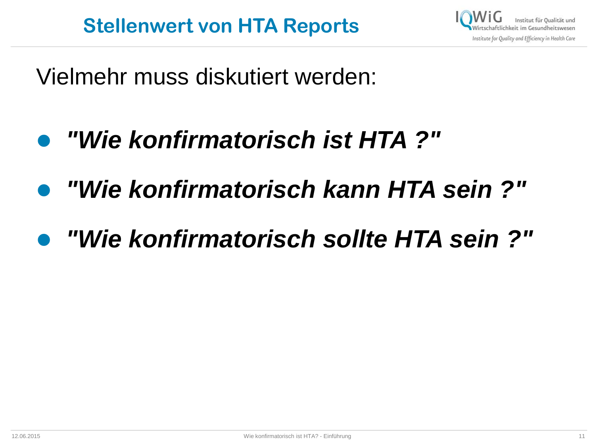

Vielmehr muss diskutiert werden:

- *"Wie konfirmatorisch ist HTA ?"*
- *"Wie konfirmatorisch kann HTA sein ?"*
- *"Wie konfirmatorisch sollte HTA sein ?"*